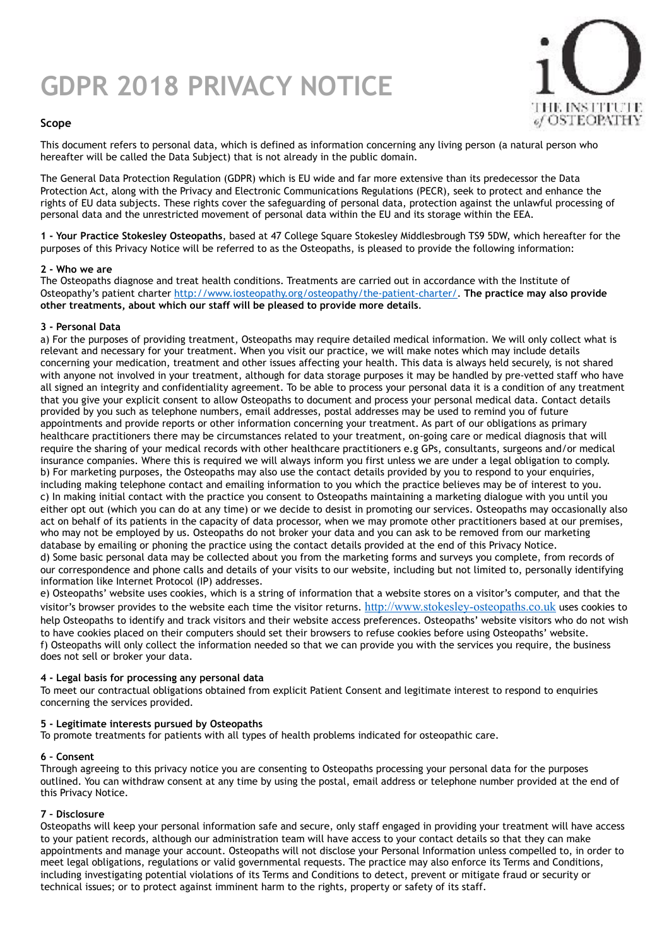# **GDPR 2018 PRIVACY NOTICE**



# **Scope**

This document refers to personal data, which is defined as information concerning any living person (a natural person who hereafter will be called the Data Subject) that is not already in the public domain.

The General Data Protection Regulation (GDPR) which is EU wide and far more extensive than its predecessor the Data Protection Act, along with the Privacy and Electronic Communications Regulations (PECR), seek to protect and enhance the rights of EU data subjects. These rights cover the safeguarding of personal data, protection against the unlawful processing of personal data and the unrestricted movement of personal data within the EU and its storage within the EEA.

**1 - Your Practice Stokesley Osteopaths**, based at 47 College Square Stokesley Middlesbrough TS9 5DW, which hereafter for the purposes of this Privacy Notice will be referred to as the Osteopaths, is pleased to provide the following information:

### **2 - Who we are**

The Osteopaths diagnose and treat health conditions. Treatments are carried out in accordance with the Institute of Osteopathy's patient charter [http://www.iosteopathy.org/osteopathy/the-patient-charter/.](http://www.iosteopathy.org/osteopathy/the-patient-charter/) **The practice may also provide other treatments, about which our staff will be pleased to provide more details**.

### **3 - Personal Data**

a) For the purposes of providing treatment, Osteopaths may require detailed medical information. We will only collect what is relevant and necessary for your treatment. When you visit our practice, we will make notes which may include details concerning your medication, treatment and other issues affecting your health. This data is always held securely, is not shared with anyone not involved in your treatment, although for data storage purposes it may be handled by pre-vetted staff who have all signed an integrity and confidentiality agreement. To be able to process your personal data it is a condition of any treatment that you give your explicit consent to allow Osteopaths to document and process your personal medical data. Contact details provided by you such as telephone numbers, email addresses, postal addresses may be used to remind you of future appointments and provide reports or other information concerning your treatment. As part of our obligations as primary healthcare practitioners there may be circumstances related to your treatment, on-going care or medical diagnosis that will require the sharing of your medical records with other healthcare practitioners e.g GPs, consultants, surgeons and/or medical insurance companies. Where this is required we will always inform you first unless we are under a legal obligation to comply. b) For marketing purposes, the Osteopaths may also use the contact details provided by you to respond to your enquiries, including making telephone contact and emailing information to you which the practice believes may be of interest to you. c) In making initial contact with the practice you consent to Osteopaths maintaining a marketing dialogue with you until you either opt out (which you can do at any time) or we decide to desist in promoting our services. Osteopaths may occasionally also act on behalf of its patients in the capacity of data processor, when we may promote other practitioners based at our premises, who may not be employed by us. Osteopaths do not broker your data and you can ask to be removed from our marketing database by emailing or phoning the practice using the contact details provided at the end of this Privacy Notice. d) Some basic personal data may be collected about you from the marketing forms and surveys you complete, from records of our correspondence and phone calls and details of your visits to our website, including but not limited to, personally identifying information like Internet Protocol (IP) addresses.

e) Osteopaths' website uses cookies, which is a string of information that a website stores on a visitor's computer, and that the visitor's browser provides to the website each time the visitor returns. <http://www.stokesley-osteopaths.co.uk> uses cookies to help Osteopaths to identify and track visitors and their website access preferences. Osteopaths' website visitors who do not wish to have cookies placed on their computers should set their browsers to refuse cookies before using Osteopaths' website. f) Osteopaths will only collect the information needed so that we can provide you with the services you require, the business does not sell or broker your data.

## **4 - Legal basis for processing any personal data**

To meet our contractual obligations obtained from explicit Patient Consent and legitimate interest to respond to enquiries concerning the services provided.

## **5 - Legitimate interests pursued by Osteopaths**

To promote treatments for patients with all types of health problems indicated for osteopathic care.

## **6 – Consent**

Through agreeing to this privacy notice you are consenting to Osteopaths processing your personal data for the purposes outlined. You can withdraw consent at any time by using the postal, email address or telephone number provided at the end of this Privacy Notice.

## **7 – Disclosure**

Osteopaths will keep your personal information safe and secure, only staff engaged in providing your treatment will have access to your patient records, although our administration team will have access to your contact details so that they can make appointments and manage your account. Osteopaths will not disclose your Personal Information unless compelled to, in order to meet legal obligations, regulations or valid governmental requests. The practice may also enforce its Terms and Conditions, including investigating potential violations of its Terms and Conditions to detect, prevent or mitigate fraud or security or technical issues; or to protect against imminent harm to the rights, property or safety of its staff.